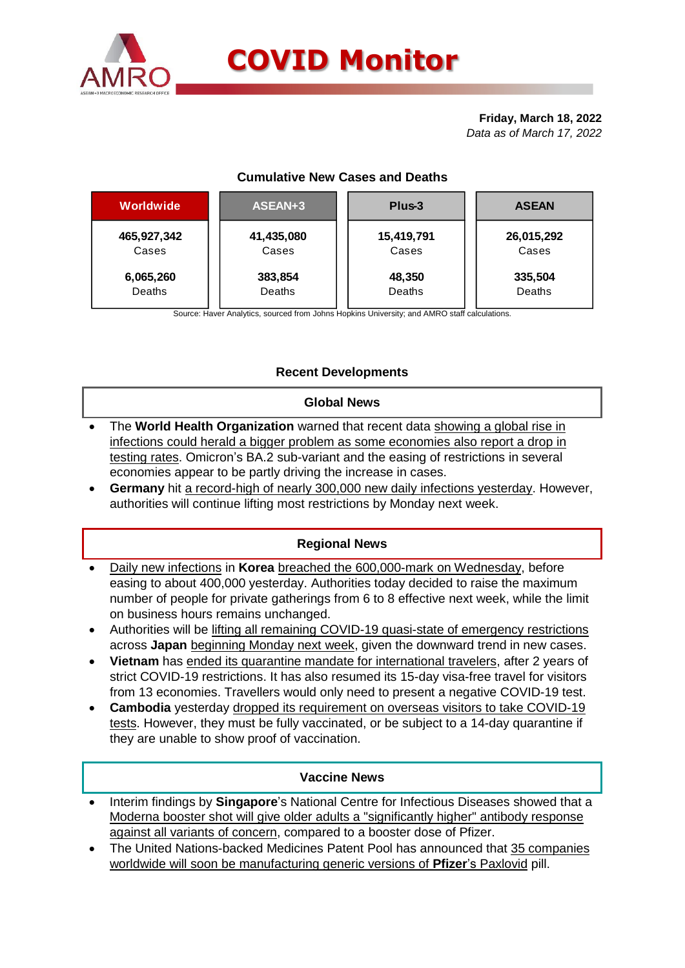

#### **Friday, March 18, 2022** *Data as of March 17, 2022*

## **Cumulative New Cases and Deaths**

| Worldwide   | ASEAN+3    | Plus-3     | <b>ASEAN</b> |  |  |
|-------------|------------|------------|--------------|--|--|
| 465,927,342 | 41,435,080 | 15,419,791 | 26,015,292   |  |  |
| Cases       | Cases      | Cases      | Cases        |  |  |
| 6,065,260   | 383,854    | 48,350     | 335,504      |  |  |
| Deaths      | Deaths     | Deaths     | Deaths       |  |  |

Source: Haver Analytics, sourced from Johns Hopkins University; and AMRO staff calculations.

# **Recent Developments**

### **Global News**

- The **World Health Organization** warned that recent data showing a global rise in infections could herald a bigger problem as some economies also report a drop in testing rates. Omicron's BA.2 sub-variant and the easing of restrictions in several economies appear to be partly driving the increase in cases.
- **Germany** hit a record-high of nearly 300,000 new daily infections yesterday. However, authorities will continue lifting most restrictions by Monday next week.

## **Regional News**

- Daily new infections in **Korea** breached the 600,000-mark on Wednesday, before easing to about 400,000 yesterday. Authorities today decided to raise the maximum number of people for private gatherings from 6 to 8 effective next week, while the limit on business hours remains unchanged.
- Authorities will be lifting all remaining COVID-19 quasi-state of emergency restrictions across **Japan** beginning Monday next week, given the downward trend in new cases.
- **Vietnam** has ended its quarantine mandate for international travelers, after 2 years of strict COVID-19 restrictions. It has also resumed its 15-day visa-free travel for visitors from 13 economies. Travellers would only need to present a negative COVID-19 test.
- **Cambodia** yesterday dropped its requirement on overseas visitors to take COVID-19 tests. However, they must be fully vaccinated, or be subject to a 14-day quarantine if they are unable to show proof of vaccination.

#### **Vaccine News**

- Interim findings by **Singapore**'s National Centre for Infectious Diseases showed that a Moderna booster shot will give older adults a "significantly higher" antibody response against all variants of concern, compared to a booster dose of Pfizer.
- The United Nations-backed Medicines Patent Pool has announced that 35 companies worldwide will soon be manufacturing generic versions of **Pfizer**'s Paxlovid pill.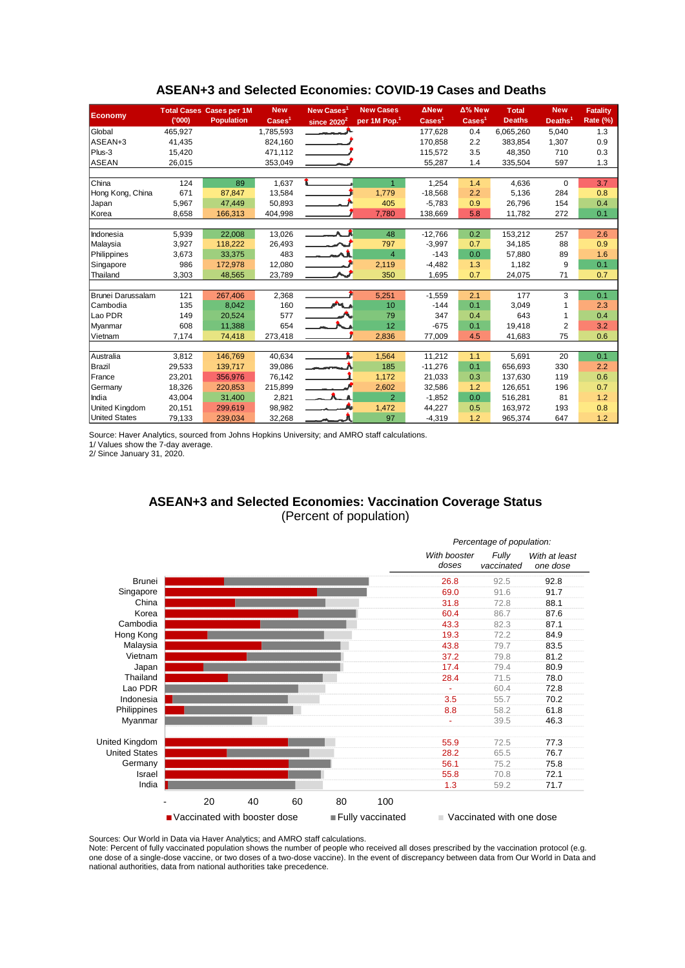| <b>Economy</b>        |         | <b>Total Cases Cases per 1M</b> | <b>New</b>               | New Cases <sup>1</sup>   | <b>New Cases</b>         | <b>ANew</b>              | Δ% New             | <b>Total</b>  | <b>New</b>          | <b>Fatality</b> |
|-----------------------|---------|---------------------------------|--------------------------|--------------------------|--------------------------|--------------------------|--------------------|---------------|---------------------|-----------------|
|                       | (000)   | <b>Population</b>               | $\text{Case} \text{s}^1$ | since $2020^2$           | per 1M Pop. <sup>1</sup> | $\text{Case} \text{s}^1$ | Cases <sup>1</sup> | <b>Deaths</b> | Deaths <sup>1</sup> | <b>Rate (%)</b> |
| Global                | 465,927 |                                 | 1,785,593                |                          |                          | 177,628                  | 0.4                | 6,065,260     | 5,040               | 1.3             |
| ASEAN+3               | 41,435  |                                 | 824,160                  |                          |                          | 170.858                  | 2.2                | 383,854       | 1,307               | 0.9             |
| $Plus-3$              | 15,420  |                                 | 471,112                  |                          |                          | 115,572                  | 3.5                | 48,350        | 710                 | 0.3             |
| ASEAN                 | 26,015  |                                 | 353,049                  |                          |                          | 55,287                   | 1.4                | 335,504       | 597                 | 1.3             |
|                       |         |                                 |                          |                          |                          |                          |                    |               |                     |                 |
| <b>China</b>          | 124     | 89                              | 1,637                    |                          | $\mathbf{1}$             | 1,254                    | 1.4                | 4,636         | $\Omega$            | 3.7             |
| Hong Kong, China      | 671     | 87,847                          | 13,584                   |                          | 1,779                    | $-18,568$                | 2.2                | 5,136         | 284                 | 0.8             |
| Japan                 | 5,967   | 47.449                          | 50,893                   |                          | 405                      | $-5,783$                 | 0.9                | 26,796        | 154                 | 0.4             |
| Korea                 | 8,658   | 166,313                         | 404,998                  |                          | 7,780                    | 138,669                  | 5.8                | 11,782        | 272                 | 0.1             |
|                       |         |                                 |                          |                          |                          |                          |                    |               |                     |                 |
| Indonesia             | 5,939   | 22,008                          | 13,026                   | $\overline{\phantom{a}}$ | 48                       | $-12,766$                | 0.2                | 153,212       | 257                 | 2.6             |
| Malaysia              | 3,927   | 118,222                         | 26,493                   |                          | 797                      | $-3,997$                 | 0.7                | 34,185        | 88                  | 0.9             |
| Philippines           | 3,673   | 33,375                          | 483                      |                          | $\overline{4}$           | $-143$                   | 0.0                | 57,880        | 89                  | 1.6             |
| Singapore             | 986     | 172,978                         | 12,080                   |                          | 2,119                    | $-4,482$                 | 1.3                | 1,182         | 9                   | 0.1             |
| Thailand              | 3,303   | 48,565                          | 23,789                   |                          | 350                      | 1,695                    | 0.7                | 24,075        | 71                  | 0.7             |
|                       |         |                                 |                          |                          |                          |                          |                    |               |                     |                 |
| Brunei Darussalam     | 121     | 267,406                         | 2,368                    |                          | 5,251                    | $-1,559$                 | 2.1                | 177           | 3                   | 0.1             |
| Cambodia              | 135     | 8,042                           | 160                      | an a                     | 10                       | $-144$                   | 0.1                | 3,049         |                     | 2.3             |
| Lao PDR               | 149     | 20.524                          | 577                      |                          | 79                       | 347                      | 0.4                | 643           |                     | 0.4             |
| Myanmar               | 608     | 11,388                          | 654                      |                          | 12                       | $-675$                   | 0.1                | 19,418        | $\overline{2}$      | 3.2             |
| Vietnam               | 7,174   | 74,418                          | 273,418                  |                          | 2,836                    | 77,009                   | 4.5                | 41,683        | 75                  | 0.6             |
|                       |         |                                 |                          |                          |                          |                          |                    |               |                     |                 |
| Australia             | 3,812   | 146,769                         | 40,634                   |                          | 1,564                    | 11,212                   | 1.1                | 5,691         | 20                  | 0.1             |
| <b>Brazil</b>         | 29,533  | 139,717                         | 39,086                   | $\overline{\phantom{a}}$ | 185                      | $-11,276$                | 0.1                | 656,693       | 330                 | 2.2             |
| France                | 23,201  | 356.976                         | 76,142                   |                          | 1,172                    | 21,033                   | 0.3                | 137,630       | 119                 | 0.6             |
| Germany               | 18,326  | 220,853                         | 215,899                  |                          | 2,602                    | 32,586                   | 1.2                | 126,651       | 196                 | 0.7             |
| India                 | 43,004  | 31,400                          | 2,821                    |                          | $\overline{2}$           | $-1,852$                 | 0.0                | 516,281       | 81                  | 1.2             |
| <b>United Kingdom</b> | 20,151  | 299,619                         | 98,982                   |                          | 1,472                    | 44,227                   | 0.5                | 163,972       | 193                 | 0.8             |
| <b>United States</b>  | 79,133  | 239,034                         | 32,268                   |                          | 97                       | $-4,319$                 | 1.2                | 965,374       | 647                 | 1.2             |

#### **ASEAN+3 and Selected Economies: COVID-19 Cases and Deaths**

Source: Haver Analytics, sourced from Johns Hopkins University; and AMRO staff calculations.

1/ Values show the 7-day average.

2/ Since January 31, 2020.

### **ASEAN+3 and Selected Economies: Vaccination Coverage Status** (Percent of population)



Sources: Our World in Data via Haver Analytics; and AMRO staff calculations.

Note: Percent of fully vaccinated population shows the number of people who received all doses prescribed by the vaccination protocol (e.g. one dose of a single-dose vaccine, or two doses of a two-dose vaccine). In the event of discrepancy between data from Our World in Data and national authorities, data from national authorities take precedence.